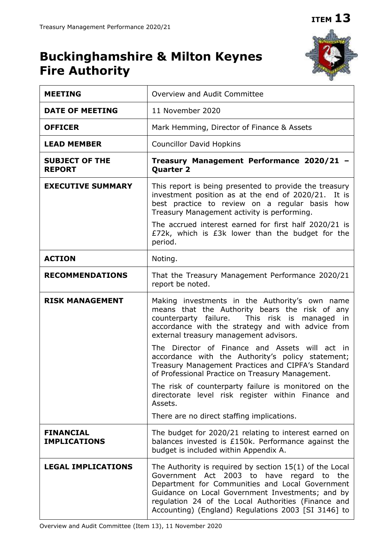# **ITEM 13**

# **Buckinghamshire & Milton Keynes Fire Authority**



| <b>MEETING</b>                          | Overview and Audit Committee                                                                                                                                                                                                                                                                                                         |  |
|-----------------------------------------|--------------------------------------------------------------------------------------------------------------------------------------------------------------------------------------------------------------------------------------------------------------------------------------------------------------------------------------|--|
| <b>DATE OF MEETING</b>                  | 11 November 2020                                                                                                                                                                                                                                                                                                                     |  |
| <b>OFFICER</b>                          | Mark Hemming, Director of Finance & Assets                                                                                                                                                                                                                                                                                           |  |
| <b>LEAD MEMBER</b>                      | <b>Councillor David Hopkins</b>                                                                                                                                                                                                                                                                                                      |  |
| <b>SUBJECT OF THE</b><br><b>REPORT</b>  | Treasury Management Performance 2020/21<br><b>Quarter 2</b>                                                                                                                                                                                                                                                                          |  |
| <b>EXECUTIVE SUMMARY</b>                | This report is being presented to provide the treasury<br>investment position as at the end of 2020/21.<br>It is<br>best practice to review on a regular basis<br>how<br>Treasury Management activity is performing.<br>The accrued interest earned for first half 2020/21 is<br>£72k, which is £3k lower than the budget for the    |  |
|                                         | period.                                                                                                                                                                                                                                                                                                                              |  |
| <b>ACTION</b>                           | Noting.                                                                                                                                                                                                                                                                                                                              |  |
| <b>RECOMMENDATIONS</b>                  | That the Treasury Management Performance 2020/21<br>report be noted.                                                                                                                                                                                                                                                                 |  |
| <b>RISK MANAGEMENT</b>                  | Making investments in the Authority's own name<br>means that the Authority bears the risk of any<br>counterparty failure.<br>This risk is managed in<br>accordance with the strategy and with advice from<br>external treasury management advisors.                                                                                  |  |
|                                         | The Director of Finance and Assets will act in<br>accordance with the Authority's policy statement;<br>Treasury Management Practices and CIPFA's Standard<br>of Professional Practice on Treasury Management.                                                                                                                        |  |
|                                         | The risk of counterparty failure is monitored on the<br>directorate level risk register within Finance and<br>Assets.                                                                                                                                                                                                                |  |
|                                         | There are no direct staffing implications.                                                                                                                                                                                                                                                                                           |  |
| <b>FINANCIAL</b><br><b>IMPLICATIONS</b> | The budget for 2020/21 relating to interest earned on<br>balances invested is £150k. Performance against the<br>budget is included within Appendix A.                                                                                                                                                                                |  |
| <b>LEGAL IMPLICATIONS</b>               | The Authority is required by section $15(1)$ of the Local<br>Government Act 2003 to<br>have regard<br>the<br>to<br>Department for Communities and Local Government<br>Guidance on Local Government Investments; and by<br>regulation 24 of the Local Authorities (Finance and<br>Accounting) (England) Regulations 2003 [SI 3146] to |  |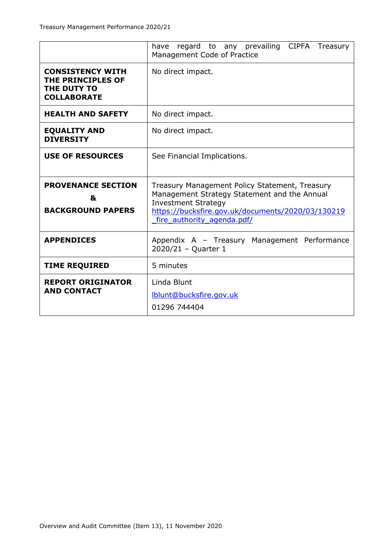|                                                                                   | have regard to any prevailing CIPFA Treasury<br>Management Code of Practice                                                                                                                                     |  |
|-----------------------------------------------------------------------------------|-----------------------------------------------------------------------------------------------------------------------------------------------------------------------------------------------------------------|--|
| <b>CONSISTENCY WITH</b><br>THE PRINCIPLES OF<br>THE DUTY TO<br><b>COLLABORATE</b> | No direct impact.                                                                                                                                                                                               |  |
| <b>HEALTH AND SAFETY</b>                                                          | No direct impact.                                                                                                                                                                                               |  |
| <b>EQUALITY AND</b><br><b>DIVERSITY</b>                                           | No direct impact.                                                                                                                                                                                               |  |
| <b>USE OF RESOURCES</b>                                                           | See Financial Implications.                                                                                                                                                                                     |  |
| <b>PROVENANCE SECTION</b><br>&<br><b>BACKGROUND PAPERS</b>                        | Treasury Management Policy Statement, Treasury<br>Management Strategy Statement and the Annual<br><b>Investment Strategy</b><br>https://bucksfire.gov.uk/documents/2020/03/130219<br>fire authority agenda.pdf/ |  |
| <b>APPENDICES</b>                                                                 | Appendix A - Treasury Management Performance<br>2020/21 - Quarter 1                                                                                                                                             |  |
| <b>TIME REQUIRED</b>                                                              | 5 minutes                                                                                                                                                                                                       |  |
| <b>REPORT ORIGINATOR</b><br><b>AND CONTACT</b>                                    | Linda Blunt<br>lblunt@bucksfire.gov.uk<br>01296 744404                                                                                                                                                          |  |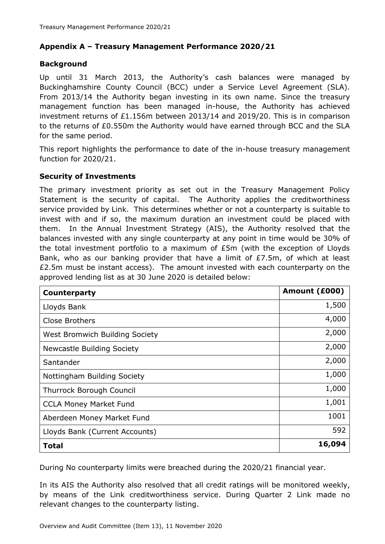# **Appendix A – Treasury Management Performance 2020/21**

# **Background**

Up until 31 March 2013, the Authority's cash balances were managed by Buckinghamshire County Council (BCC) under a Service Level Agreement (SLA). From 2013/14 the Authority began investing in its own name. Since the treasury management function has been managed in-house, the Authority has achieved investment returns of £1.156m between 2013/14 and 2019/20. This is in comparison to the returns of £0.550m the Authority would have earned through BCC and the SLA for the same period.

This report highlights the performance to date of the in-house treasury management function for 2020/21.

# **Security of Investments**

The primary investment priority as set out in the Treasury Management Policy Statement is the security of capital. The Authority applies the creditworthiness service provided by Link. This determines whether or not a counterparty is suitable to invest with and if so, the maximum duration an investment could be placed with them. In the Annual Investment Strategy (AIS), the Authority resolved that the balances invested with any single counterparty at any point in time would be 30% of the total investment portfolio to a maximum of £5m (with the exception of Lloyds Bank, who as our banking provider that have a limit of £7.5m, of which at least £2.5m must be instant access). The amount invested with each counterparty on the approved lending list as at 30 June 2020 is detailed below:

| Counterparty                    | Amount (£000) |
|---------------------------------|---------------|
| Lloyds Bank                     | 1,500         |
| Close Brothers                  | 4,000         |
| West Bromwich Building Society  | 2,000         |
| Newcastle Building Society      | 2,000         |
| Santander                       | 2,000         |
| Nottingham Building Society     | 1,000         |
| <b>Thurrock Borough Council</b> | 1,000         |
| <b>CCLA Money Market Fund</b>   | 1,001         |
| Aberdeen Money Market Fund      | 1001          |
| Lloyds Bank (Current Accounts)  | 592           |
| <b>Total</b>                    | 16,094        |

During No counterparty limits were breached during the 2020/21 financial year.

In its AIS the Authority also resolved that all credit ratings will be monitored weekly, by means of the Link creditworthiness service. During Quarter 2 Link made no relevant changes to the counterparty listing.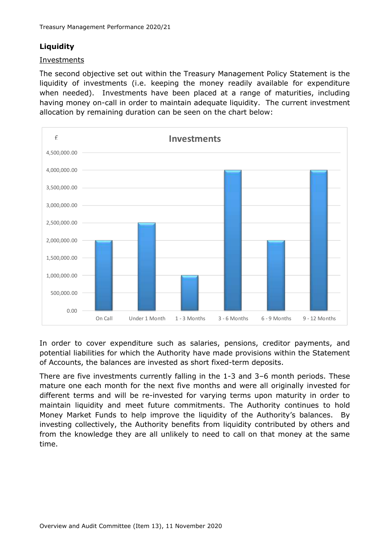# **Liquidity**

#### Investments

The second objective set out within the Treasury Management Policy Statement is the liquidity of investments (i.e. keeping the money readily available for expenditure when needed). Investments have been placed at a range of maturities, including having money on-call in order to maintain adequate liquidity. The current investment allocation by remaining duration can be seen on the chart below:



In order to cover expenditure such as salaries, pensions, creditor payments, and potential liabilities for which the Authority have made provisions within the Statement of Accounts, the balances are invested as short fixed-term deposits.

There are five investments currently falling in the 1-3 and 3–6 month periods. These mature one each month for the next five months and were all originally invested for different terms and will be re-invested for varying terms upon maturity in order to maintain liquidity and meet future commitments. The Authority continues to hold Money Market Funds to help improve the liquidity of the Authority's balances. By investing collectively, the Authority benefits from liquidity contributed by others and from the knowledge they are all unlikely to need to call on that money at the same time.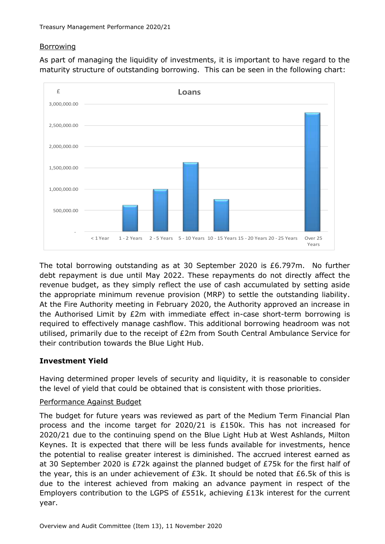#### Borrowing

As part of managing the liquidity of investments, it is important to have regard to the maturity structure of outstanding borrowing. This can be seen in the following chart:



The total borrowing outstanding as at 30 September 2020 is £6.797m. No further debt repayment is due until May 2022. These repayments do not directly affect the revenue budget, as they simply reflect the use of cash accumulated by setting aside the appropriate minimum revenue provision (MRP) to settle the outstanding liability. At the Fire Authority meeting in February 2020, the Authority approved an increase in the Authorised Limit by £2m with immediate effect in-case short-term borrowing is required to effectively manage cashflow. This additional borrowing headroom was not utilised, primarily due to the receipt of £2m from South Central Ambulance Service for their contribution towards the Blue Light Hub.

# **Investment Yield**

Having determined proper levels of security and liquidity, it is reasonable to consider the level of yield that could be obtained that is consistent with those priorities.

# Performance Against Budget

The budget for future years was reviewed as part of the Medium Term Financial Plan process and the income target for 2020/21 is £150k. This has not increased for 2020/21 due to the continuing spend on the Blue Light Hub at West Ashlands, Milton Keynes. It is expected that there will be less funds available for investments, hence the potential to realise greater interest is diminished. The accrued interest earned as at 30 September 2020 is £72k against the planned budget of £75k for the first half of the year, this is an under achievement of £3k. It should be noted that £6.5k of this is due to the interest achieved from making an advance payment in respect of the Employers contribution to the LGPS of  $E551k$ , achieving  $E13k$  interest for the current year.